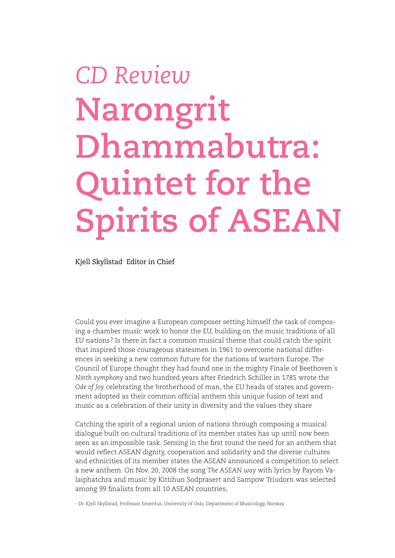## *CD Review* **Narongrit Dhammabutra: Quintet for the Spirits of ASEAN**

Kjell Skyllstad+ Editor in Chief

Could you ever imagine a European composer setting himself the task of composing a chamber music work to honor the EU, building on the music traditions of all EU nations? Is there in fact a common musical theme that could catch the spirit that inspired those courageous statesmen in 1961 to overcome national differences in seeking a new common future for the nations of wartorn Europe. The Council of Europe thought they had found one in the mighty Finale of Beethoven´s *Ninth symphony* and two hundred years after Friedrich Schiller in 1785 wrote the *Ode of Joy* celebrating the brotherhood of man, the EU heads of states and government adopted as their common official anthem this unique fusion of text and music as a celebration of their unity in diversity and the values they share

Catching the spirit of a regional union of nations through composing a musical dialogue built on cultural traditions of its member states has up until now been seen as an impossible task. Sensing in the first round the need for an anthem that would reflect ASEAN dignity, cooperation and solidarity and the diverse cultures and ethnicities of its member states the ASEAN announced a competition to select a new anthem. On Nov. 20, 2008 the song *The ASEAN way* with lyrics by Payom Valaiphatchra and music by Kittihun Sodprasert and Sampow Triudorn was selected among 99 finalists from all 10 ASEAN countries;

+ Dr. Kjell Skyllstad, Professor Emeritus, University of Oslo, Department of Musicology, Norway.